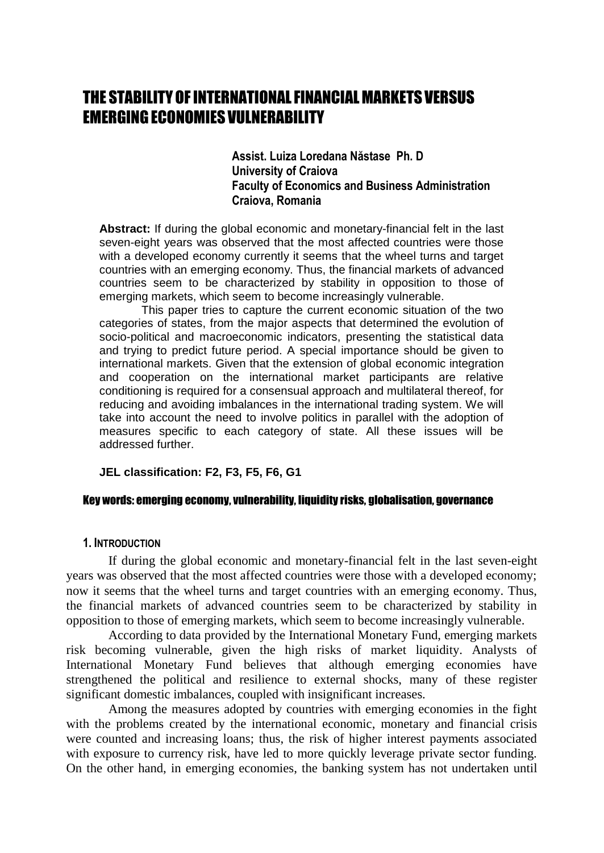# THE STABILITY OF INTERNATIONAL FINANCIAL MARKETS VERSUS EMERGINGECONOMIES VULNERABILITY

**Assist. Luiza Loredana Năstase Ph. D University of Craiova Faculty of Economics and Business Administration Craiova, Romania** 

**Abstract:** If during the global economic and monetary-financial felt in the last seven-eight years was observed that the most affected countries were those with a developed economy currently it seems that the wheel turns and target countries with an emerging economy. Thus, the financial markets of advanced countries seem to be characterized by stability in opposition to those of emerging markets, which seem to become increasingly vulnerable.

This paper tries to capture the current economic situation of the two categories of states, from the major aspects that determined the evolution of socio-political and macroeconomic indicators, presenting the statistical data and trying to predict future period. A special importance should be given to international markets. Given that the extension of global economic integration and cooperation on the international market participants are relative conditioning is required for a consensual approach and multilateral thereof, for reducing and avoiding imbalances in the international trading system. We will take into account the need to involve politics in parallel with the adoption of measures specific to each category of state. All these issues will be addressed further.

**JEL classification: F2, F3, F5, F6, G1**

#### Key words: emerging economy, vulnerability, liquidity risks, globalisation, governance

#### **1. INTRODUCTION**

If during the global economic and monetary-financial felt in the last seven-eight years was observed that the most affected countries were those with a developed economy; now it seems that the wheel turns and target countries with an emerging economy. Thus, the financial markets of advanced countries seem to be characterized by stability in opposition to those of emerging markets, which seem to become increasingly vulnerable.

According to data provided by the International Monetary Fund, emerging markets risk becoming vulnerable, given the high risks of market liquidity. Analysts of International Monetary Fund believes that although emerging economies have strengthened the political and resilience to external shocks, many of these register significant domestic imbalances, coupled with insignificant increases.

Among the measures adopted by countries with emerging economies in the fight with the problems created by the international economic, monetary and financial crisis were counted and increasing loans; thus, the risk of higher interest payments associated with exposure to currency risk, have led to more quickly leverage private sector funding. On the other hand, in emerging economies, the banking system has not undertaken until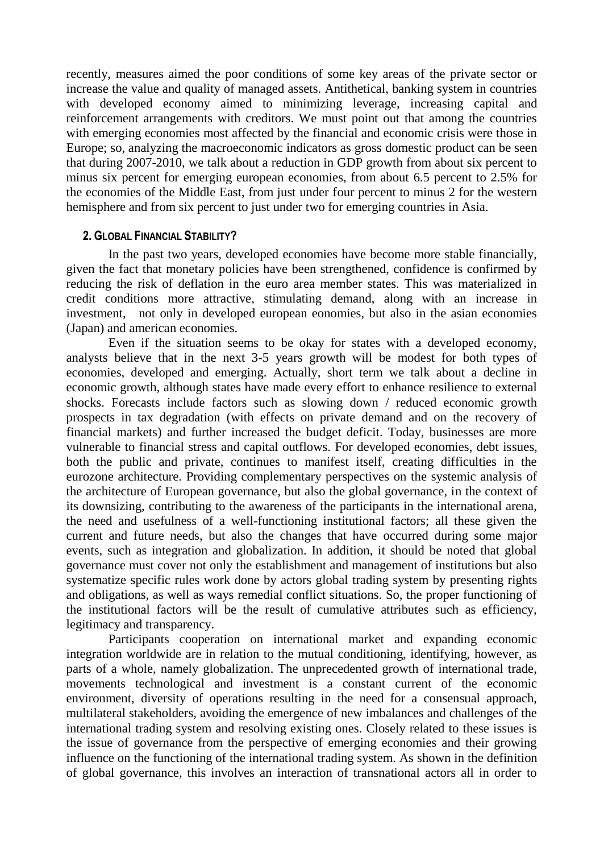recently, measures aimed the poor conditions of some key areas of the private sector or increase the value and quality of managed assets. Antithetical, banking system in countries with developed economy aimed to minimizing leverage, increasing capital and reinforcement arrangements with creditors. We must point out that among the countries with emerging economies most affected by the financial and economic crisis were those in Europe; so, analyzing the macroeconomic indicators as gross domestic product can be seen that during 2007-2010, we talk about a reduction in GDP growth from about six percent to minus six percent for emerging european economies, from about 6.5 percent to 2.5% for the economies of the Middle East, from just under four percent to minus 2 for the western hemisphere and from six percent to just under two for emerging countries in Asia.

## **2. GLOBAL FINANCIAL STABILITY?**

In the past two years, developed economies have become more stable financially, given the fact that monetary policies have been strengthened, confidence is confirmed by reducing the risk of deflation in the euro area member states. This was materialized in credit conditions more attractive, stimulating demand, along with an increase in investment, not only in developed european eonomies, but also in the asian economies (Japan) and american economies.

Even if the situation seems to be okay for states with a developed economy, analysts believe that in the next 3-5 years growth will be modest for both types of economies, developed and emerging. Actually, short term we talk about a decline in economic growth, although states have made every effort to enhance resilience to external shocks. Forecasts include factors such as slowing down / reduced economic growth prospects in tax degradation (with effects on private demand and on the recovery of financial markets) and further increased the budget deficit. Today, businesses are more vulnerable to financial stress and capital outflows. For developed economies, debt issues, both the public and private, continues to manifest itself, creating difficulties in the eurozone architecture. Providing complementary perspectives on the systemic analysis of the architecture of European governance, but also the global governance, in the context of its downsizing, contributing to the awareness of the participants in the international arena, the need and usefulness of a well-functioning institutional factors; all these given the current and future needs, but also the changes that have occurred during some major events, such as integration and globalization. In addition, it should be noted that global governance must cover not only the establishment and management of institutions but also systematize specific rules work done by actors global trading system by presenting rights and obligations, as well as ways remedial conflict situations. So, the proper functioning of the institutional factors will be the result of cumulative attributes such as efficiency, legitimacy and transparency.

Participants cooperation on international market and expanding economic integration worldwide are in relation to the mutual conditioning, identifying, however, as parts of a whole, namely globalization. The unprecedented growth of international trade, movements technological and investment is a constant current of the economic environment, diversity of operations resulting in the need for a consensual approach, multilateral stakeholders, avoiding the emergence of new imbalances and challenges of the international trading system and resolving existing ones. Closely related to these issues is the issue of governance from the perspective of emerging economies and their growing influence on the functioning of the international trading system. As shown in the definition of global governance, this involves an interaction of transnational actors all in order to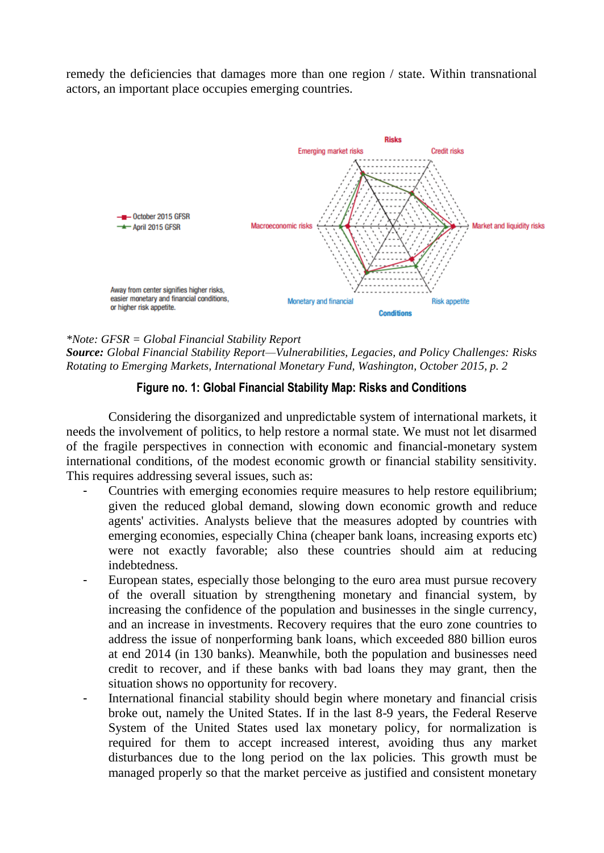remedy the deficiencies that damages more than one region / state. Within transnational actors, an important place occupies emerging countries.



#### *\*Note: GFSR = Global Financial Stability Report*

*Source: Global Financial Stability Report—Vulnerabilities, Legacies, and Policy Challenges: Risks Rotating to Emerging Markets, International Monetary Fund, Washington, October 2015, p. 2*

## **Figure no. 1: Global Financial Stability Map: Risks and Conditions**

Considering the disorganized and unpredictable system of international markets, it needs the involvement of politics, to help restore a normal state. We must not let disarmed of the fragile perspectives in connection with economic and financial-monetary system international conditions, of the modest economic growth or financial stability sensitivity. This requires addressing several issues, such as:

- Countries with emerging economies require measures to help restore equilibrium; given the reduced global demand, slowing down economic growth and reduce agents' activities. Analysts believe that the measures adopted by countries with emerging economies, especially China (cheaper bank loans, increasing exports etc) were not exactly favorable; also these countries should aim at reducing indebtedness.
- European states, especially those belonging to the euro area must pursue recovery of the overall situation by strengthening monetary and financial system, by increasing the confidence of the population and businesses in the single currency, and an increase in investments. Recovery requires that the euro zone countries to address the issue of nonperforming bank loans, which exceeded 880 billion euros at end 2014 (in 130 banks). Meanwhile, both the population and businesses need credit to recover, and if these banks with bad loans they may grant, then the situation shows no opportunity for recovery.
- International financial stability should begin where monetary and financial crisis broke out, namely the United States. If in the last 8-9 years, the Federal Reserve System of the United States used lax monetary policy, for normalization is required for them to accept increased interest, avoiding thus any market disturbances due to the long period on the lax policies. This growth must be managed properly so that the market perceive as justified and consistent monetary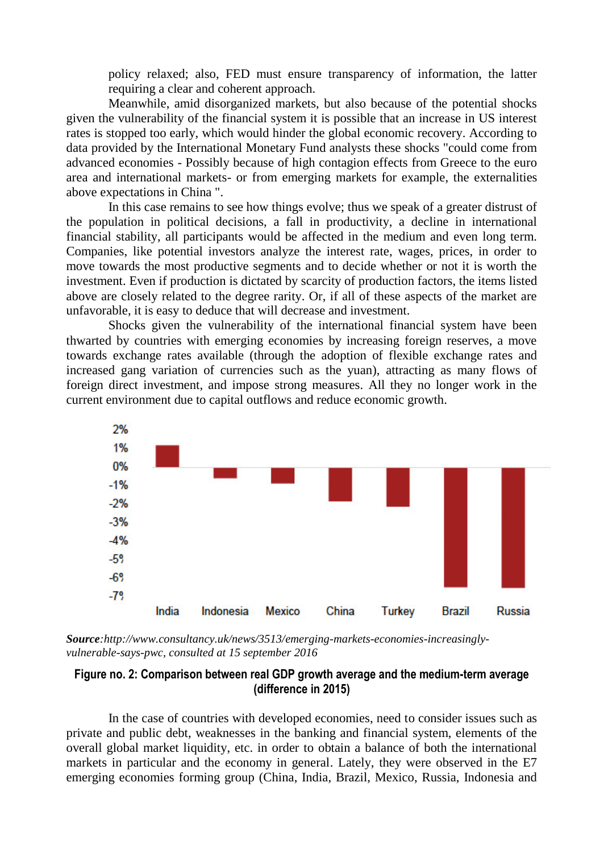policy relaxed; also, FED must ensure transparency of information, the latter requiring a clear and coherent approach.

Meanwhile, amid disorganized markets, but also because of the potential shocks given the vulnerability of the financial system it is possible that an increase in US interest rates is stopped too early, which would hinder the global economic recovery. According to data provided by the International Monetary Fund analysts these shocks "could come from advanced economies - Possibly because of high contagion effects from Greece to the euro area and international markets- or from emerging markets for example, the externalities above expectations in China ".

In this case remains to see how things evolve; thus we speak of a greater distrust of the population in political decisions, a fall in productivity, a decline in international financial stability, all participants would be affected in the medium and even long term. Companies, like potential investors analyze the interest rate, wages, prices, in order to move towards the most productive segments and to decide whether or not it is worth the investment. Even if production is dictated by scarcity of production factors, the items listed above are closely related to the degree rarity. Or, if all of these aspects of the market are unfavorable, it is easy to deduce that will decrease and investment.

Shocks given the vulnerability of the international financial system have been thwarted by countries with emerging economies by increasing foreign reserves, a move towards exchange rates available (through the adoption of flexible exchange rates and increased gang variation of currencies such as the yuan), attracting as many flows of foreign direct investment, and impose strong measures. All they no longer work in the current environment due to capital outflows and reduce economic growth.



*Source:http://www.consultancy.uk/news/3513/emerging-markets-economies-increasinglyvulnerable-says-pwc, consulted at 15 september 2016*

# **Figure no. 2: Comparison between real GDP growth average and the medium-term average (difference in 2015)**

In the case of countries with developed economies, need to consider issues such as private and public debt, weaknesses in the banking and financial system, elements of the overall global market liquidity, etc. in order to obtain a balance of both the international markets in particular and the economy in general. Lately, they were observed in the E7 emerging economies forming group (China, India, Brazil, Mexico, Russia, Indonesia and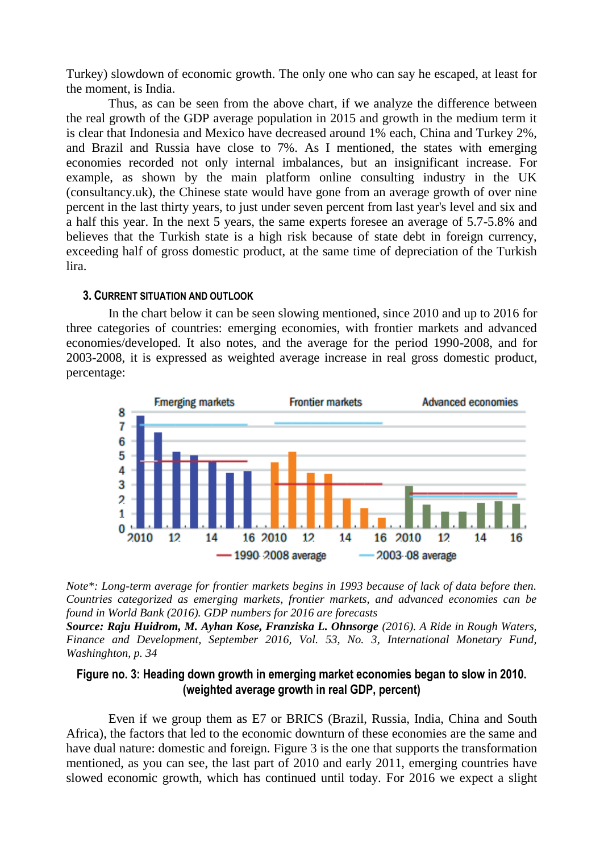Turkey) slowdown of economic growth. The only one who can say he escaped, at least for the moment, is India.

Thus, as can be seen from the above chart, if we analyze the difference between the real growth of the GDP average population in 2015 and growth in the medium term it is clear that Indonesia and Mexico have decreased around 1% each, China and Turkey 2%, and Brazil and Russia have close to 7%. As I mentioned, the states with emerging economies recorded not only internal imbalances, but an insignificant increase. For example, as shown by the main platform online consulting industry in the UK (consultancy.uk), the Chinese state would have gone from an average growth of over nine percent in the last thirty years, to just under seven percent from last year's level and six and a half this year. In the next 5 years, the same experts foresee an average of 5.7-5.8% and believes that the Turkish state is a high risk because of state debt in foreign currency, exceeding half of gross domestic product, at the same time of depreciation of the Turkish lira.

### **3. CURRENT SITUATION AND OUTLOOK**

In the chart below it can be seen slowing mentioned, since 2010 and up to 2016 for three categories of countries: emerging economies, with frontier markets and advanced economies/developed. It also notes, and the average for the period 1990-2008, and for 2003-2008, it is expressed as weighted average increase in real gross domestic product, percentage:



*Note\*: Long-term average for frontier markets begins in 1993 because of lack of data before then. Countries categorized as emerging markets, frontier markets, and advanced economies can be found in World Bank (2016). GDP numbers for 2016 are forecasts*

*Source: [Raju Huidrom, M. Ayhan Kose, Franziska L. Ohnsorge](http://www.imf.org/external/pubs/ft/fandd/2016/09/huidrom.htm#author) (2016). A Ride in Rough Waters, Finance and Development, September 2016, Vol. 53, No. 3, International Monetary Fund, Washinghton, p. 34*

## **Figure no. 3: Heading down growth in emerging market economies began to slow in 2010. (weighted average growth in real GDP, percent)**

Even if we group them as E7 or BRICS (Brazil, Russia, India, China and South Africa), the factors that led to the economic downturn of these economies are the same and have dual nature: domestic and foreign. Figure 3 is the one that supports the transformation mentioned, as you can see, the last part of 2010 and early 2011, emerging countries have slowed economic growth, which has continued until today. For 2016 we expect a slight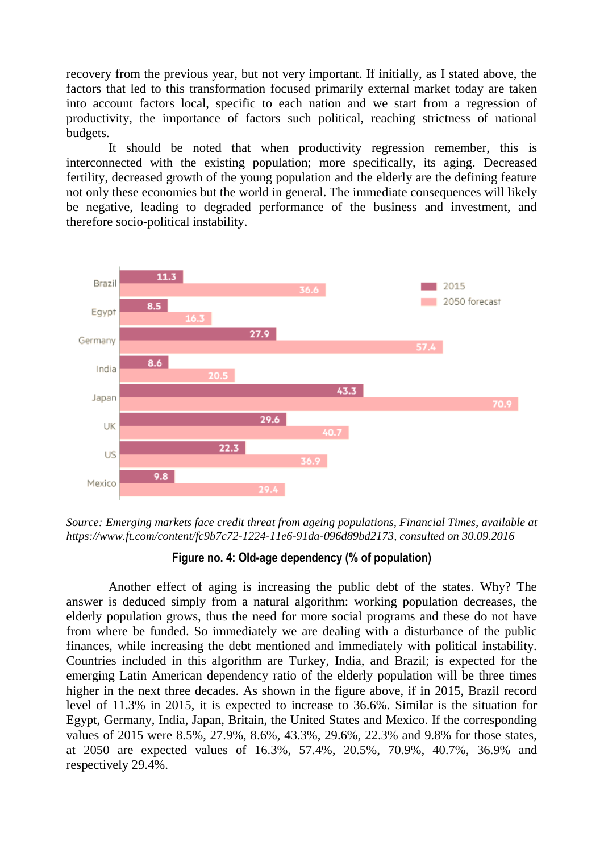recovery from the previous year, but not very important. If initially, as I stated above, the factors that led to this transformation focused primarily external market today are taken into account factors local, specific to each nation and we start from a regression of productivity, the importance of factors such political, reaching strictness of national budgets.

It should be noted that when productivity regression remember, this is interconnected with the existing population; more specifically, its aging. Decreased fertility, decreased growth of the young population and the elderly are the defining feature not only these economies but the world in general. The immediate consequences will likely be negative, leading to degraded performance of the business and investment, and therefore socio-political instability.



*Source: Emerging markets face credit threat from ageing populations, Financial Times, available at [https://www.ft.com/content/fc9b7c72-1224-11e6-91da-096d89bd2173,](https://www.ft.com/content/fc9b7c72-1224-11e6-91da-096d89bd2173) consulted on 30.09.2016*

## **Figure no. 4: Old-age dependency (% of population)**

Another effect of aging is increasing the public debt of the states. Why? The answer is deduced simply from a natural algorithm: working population decreases, the elderly population grows, thus the need for more social programs and these do not have from where be funded. So immediately we are dealing with a disturbance of the public finances, while increasing the debt mentioned and immediately with political instability. Countries included in this algorithm are Turkey, India, and Brazil; is expected for the emerging Latin American dependency ratio of the elderly population will be three times higher in the next three decades. As shown in the figure above, if in 2015, Brazil record level of 11.3% in 2015, it is expected to increase to 36.6%. Similar is the situation for Egypt, Germany, India, Japan, Britain, the United States and Mexico. If the corresponding values of 2015 were 8.5%, 27.9%, 8.6%, 43.3%, 29.6%, 22.3% and 9.8% for those states, at 2050 are expected values of 16.3%, 57.4%, 20.5%, 70.9%, 40.7%, 36.9% and respectively 29.4%.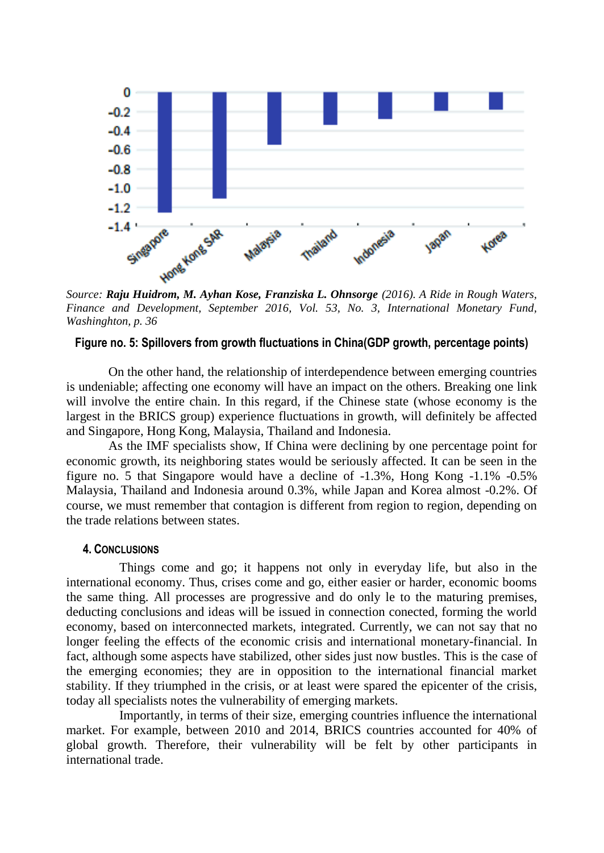

*Finance and Development, September 2016, Vol. 53, No. 3, International Monetary Fund, Washinghton, p. 36*

## **Figure no. 5: Spillovers from growth fluctuations in China(GDP growth, percentage points)**

On the other hand, the relationship of interdependence between emerging countries is undeniable; affecting one economy will have an impact on the others. Breaking one link will involve the entire chain. In this regard, if the Chinese state (whose economy is the largest in the BRICS group) experience fluctuations in growth, will definitely be affected and Singapore, Hong Kong, Malaysia, Thailand and Indonesia.

As the IMF specialists show, If China were declining by one percentage point for economic growth, its neighboring states would be seriously affected. It can be seen in the figure no. 5 that Singapore would have a decline of -1.3%, Hong Kong -1.1% -0.5% Malaysia, Thailand and Indonesia around 0.3%, while Japan and Korea almost -0.2%. Of course, we must remember that contagion is different from region to region, depending on the trade relations between states.

### **4. CONCLUSIONS**

Things come and go; it happens not only in everyday life, but also in the international economy. Thus, crises come and go, either easier or harder, economic booms the same thing. All processes are progressive and do only le to the maturing premises, deducting conclusions and ideas will be issued in connection conected, forming the world economy, based on interconnected markets, integrated. Currently, we can not say that no longer feeling the effects of the economic crisis and international monetary-financial. In fact, although some aspects have stabilized, other sides just now bustles. This is the case of the emerging economies; they are in opposition to the international financial market stability. If they triumphed in the crisis, or at least were spared the epicenter of the crisis, today all specialists notes the vulnerability of emerging markets.

Importantly, in terms of their size, emerging countries influence the international market. For example, between 2010 and 2014, BRICS countries accounted for 40% of global growth. Therefore, their vulnerability will be felt by other participants in international trade.